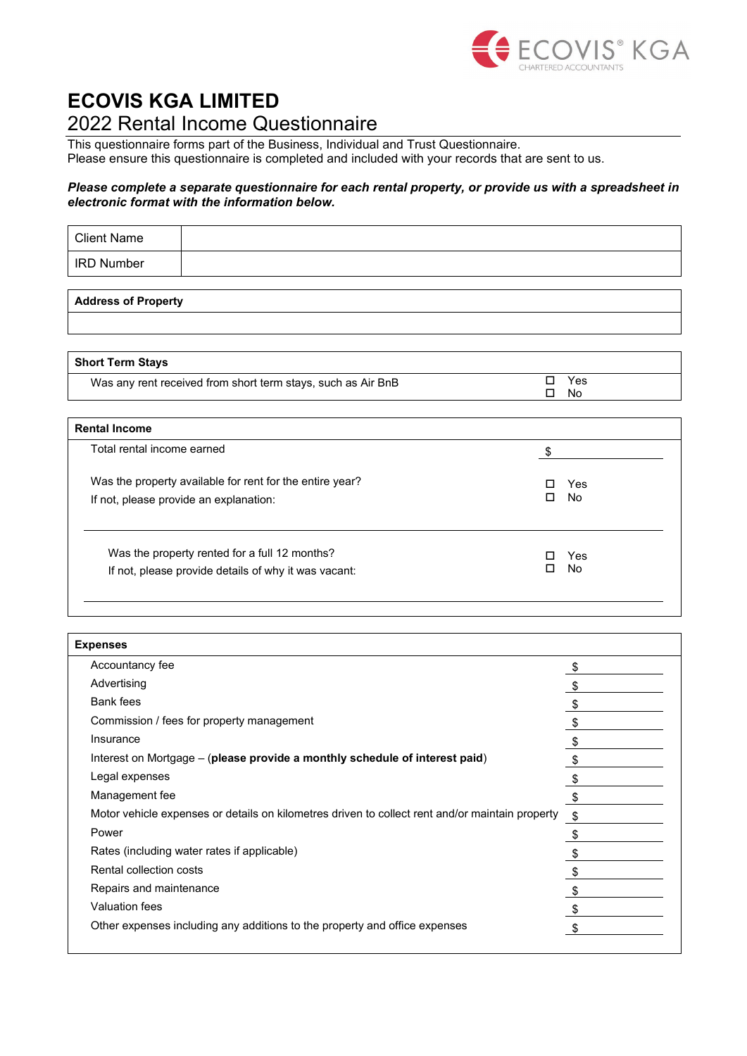

## **ECOVIS KGA LIMITED** 2022 Rental Income Questionnaire

This questionnaire forms part of the Business, Individual and Trust Questionnaire. Please ensure this questionnaire is completed and included with your records that are sent to us.

## *Please complete a separate questionnaire for each rental property, or provide us with a spreadsheet in electronic format with the information below.*

| <b>Client Name</b>         |  |  |
|----------------------------|--|--|
| <b>IRD Number</b>          |  |  |
|                            |  |  |
| <b>Address of Property</b> |  |  |

| <b>Short Term Stays</b>                                      |            |
|--------------------------------------------------------------|------------|
| Was any rent received from short term stays, such as Air BnB | Yes<br>l I |
|                                                              | No.        |
| <b>Rental Income</b>                                         |            |
| Total rental income earned                                   | \$         |
| Was the property available for rent for the entire year?     | Yes<br>ΙI  |
| If not, please provide an explanation:                       | No<br>п    |
| Was the property rented for a full 12 months?                |            |
|                                                              | Yes<br>No  |
| If not, please provide details of why it was vacant:         |            |

| <b>Expenses</b>                                                                                 |    |
|-------------------------------------------------------------------------------------------------|----|
| Accountancy fee                                                                                 | \$ |
| Advertising                                                                                     |    |
| <b>Bank</b> fees                                                                                |    |
| Commission / fees for property management                                                       | \$ |
| Insurance                                                                                       | \$ |
| Interest on Mortgage - (please provide a monthly schedule of interest paid)                     | S  |
| Legal expenses                                                                                  |    |
| Management fee                                                                                  | \$ |
| Motor vehicle expenses or details on kilometres driven to collect rent and/or maintain property | \$ |
| Power                                                                                           | \$ |
| Rates (including water rates if applicable)                                                     |    |
| Rental collection costs                                                                         |    |
| Repairs and maintenance                                                                         |    |
| Valuation fees                                                                                  | \$ |
| Other expenses including any additions to the property and office expenses                      | \$ |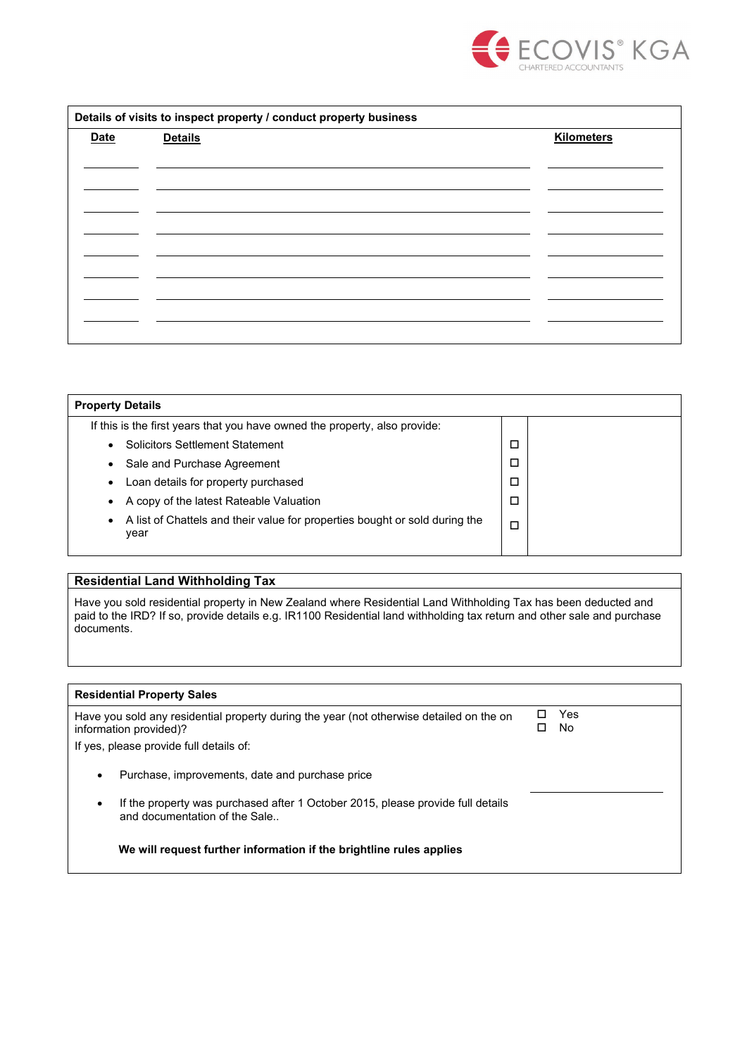

| Details of visits to inspect property / conduct property business |                |                   |
|-------------------------------------------------------------------|----------------|-------------------|
| <b>Date</b>                                                       | <b>Details</b> | <b>Kilometers</b> |
|                                                                   |                |                   |
|                                                                   |                |                   |
|                                                                   |                |                   |
|                                                                   |                |                   |
|                                                                   |                |                   |
|                                                                   |                |                   |
|                                                                   |                |                   |
|                                                                   |                |                   |
|                                                                   |                |                   |
|                                                                   |                |                   |

| <b>Property Details</b>                                                                          |   |  |
|--------------------------------------------------------------------------------------------------|---|--|
| If this is the first years that you have owned the property, also provide:                       |   |  |
| <b>Solicitors Settlement Statement</b><br>$\bullet$                                              | □ |  |
| Sale and Purchase Agreement<br>$\bullet$                                                         | □ |  |
| Loan details for property purchased<br>٠                                                         | □ |  |
| A copy of the latest Rateable Valuation<br>$\bullet$                                             | □ |  |
| A list of Chattels and their value for properties bought or sold during the<br>$\bullet$<br>year | □ |  |
|                                                                                                  |   |  |

## **Residential Land Withholding Tax**

Have you sold residential property in New Zealand where Residential Land Withholding Tax has been deducted and paid to the IRD? If so, provide details e.g. IR1100 Residential land withholding tax return and other sale and purchase documents.

| <b>Residential Property Sales</b>                                                                                             |  |            |
|-------------------------------------------------------------------------------------------------------------------------------|--|------------|
| Have you sold any residential property during the year (not otherwise detailed on the on<br>information provided)?            |  | Yes<br>No. |
| If yes, please provide full details of:                                                                                       |  |            |
| Purchase, improvements, date and purchase price<br>٠                                                                          |  |            |
| If the property was purchased after 1 October 2015, please provide full details<br>$\bullet$<br>and documentation of the Sale |  |            |
| We will request further information if the brightline rules applies                                                           |  |            |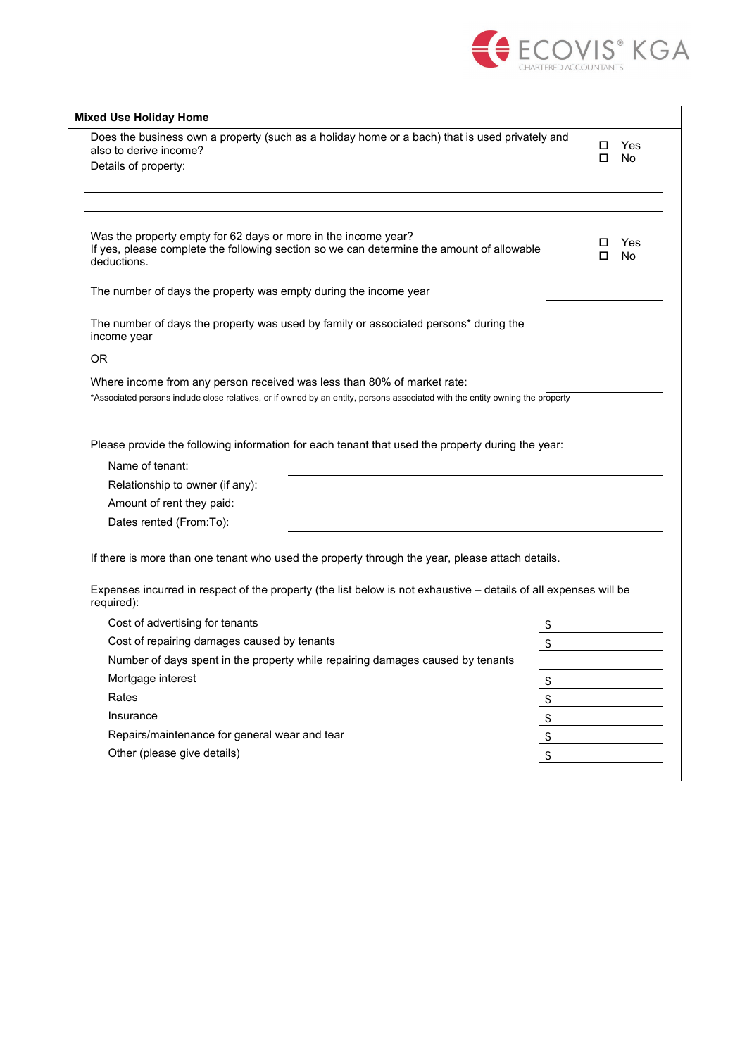

| Does the business own a property (such as a holiday home or a bach) that is used privately and<br>also to derive income?                                                   | □<br>Yes       |
|----------------------------------------------------------------------------------------------------------------------------------------------------------------------------|----------------|
| Details of property:                                                                                                                                                       | No<br>□        |
|                                                                                                                                                                            |                |
|                                                                                                                                                                            |                |
| Was the property empty for 62 days or more in the income year?<br>If yes, please complete the following section so we can determine the amount of allowable<br>deductions. | Yes<br>No<br>ப |
| The number of days the property was empty during the income year                                                                                                           |                |
| The number of days the property was used by family or associated persons* during the<br>income year                                                                        |                |
| OR.                                                                                                                                                                        |                |
| Where income from any person received was less than 80% of market rate:                                                                                                    |                |
| *Associated persons include close relatives, or if owned by an entity, persons associated with the entity owning the property                                              |                |
|                                                                                                                                                                            |                |
| Please provide the following information for each tenant that used the property during the year:                                                                           |                |
| Name of tenant:                                                                                                                                                            |                |
| Relationship to owner (if any):                                                                                                                                            |                |
| Amount of rent they paid:                                                                                                                                                  |                |
| Dates rented (From:To):                                                                                                                                                    |                |
|                                                                                                                                                                            |                |
| If there is more than one tenant who used the property through the year, please attach details.                                                                            |                |
| Expenses incurred in respect of the property (the list below is not exhaustive - details of all expenses will be<br>required):                                             |                |
| Cost of advertising for tenants                                                                                                                                            | \$             |
|                                                                                                                                                                            |                |
|                                                                                                                                                                            |                |
| Cost of repairing damages caused by tenants                                                                                                                                |                |
| Number of days spent in the property while repairing damages caused by tenants<br>Mortgage interest                                                                        |                |
| Rates                                                                                                                                                                      | \$             |
| Insurance                                                                                                                                                                  |                |
| Repairs/maintenance for general wear and tear                                                                                                                              | \$<br>\$       |